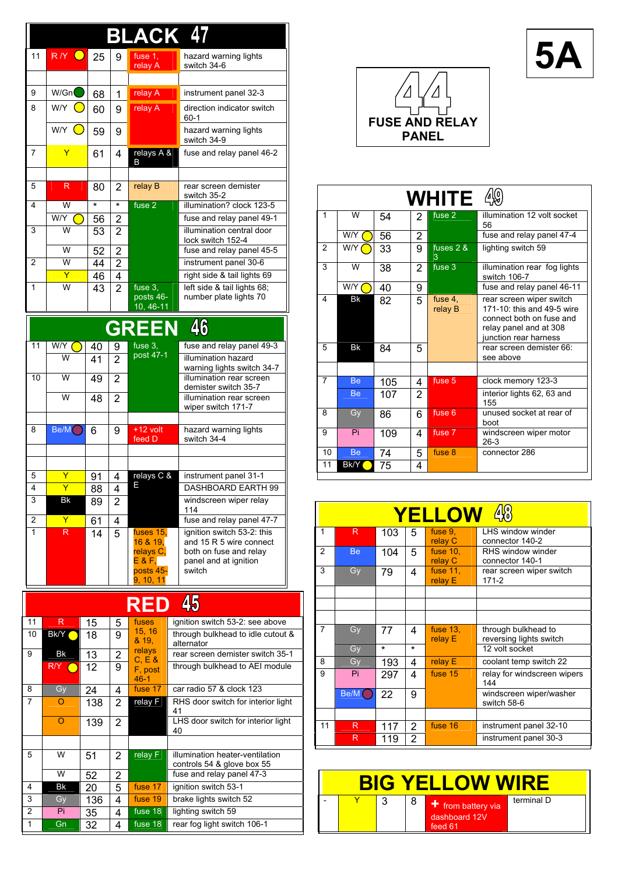|                    |                     |          | BI                  | <b>ACK 4</b>           |                                                      |  |  |  |  |
|--------------------|---------------------|----------|---------------------|------------------------|------------------------------------------------------|--|--|--|--|
| 11                 | RY O                | 25       | 9                   | fuse 1.                | hazard warning lights                                |  |  |  |  |
|                    |                     |          |                     | relay A                | switch 34-6                                          |  |  |  |  |
| 9                  | W/Gn                | 68       | 1                   | relay A                | instrument panel 32-3                                |  |  |  |  |
| 8                  | W/Y $\left(\right.$ | 60       | 9                   | relay A                | direction indicator switch                           |  |  |  |  |
|                    |                     |          |                     |                        | 60-1                                                 |  |  |  |  |
|                    | W/Y (               | 59       | 9                   |                        | hazard warning lights<br>switch 34-9                 |  |  |  |  |
| 7                  | Y                   | 61       | 4                   | relays A &<br>B        | fuse and relay panel 46-2                            |  |  |  |  |
| 5                  | R                   | 80       | 2                   | re ay B                | rear screen demister                                 |  |  |  |  |
| 4                  | W                   | $\star$  | $\overline{\ast}$   | fuse 2                 | switch 35-2<br>illumination? clock 123-5             |  |  |  |  |
|                    | W/Y                 | 56       | 2                   |                        | fuse and relay panel 49-1                            |  |  |  |  |
| 3                  | W                   | 53       | $\overline{2}$      |                        | illumination central door                            |  |  |  |  |
|                    |                     |          |                     |                        | lock switch 152-4                                    |  |  |  |  |
|                    | w                   | 52       | $\overline{2}$      |                        | fuse and relay panel 45-5                            |  |  |  |  |
| 2                  | w<br>Y              | 44       | $\overline{2}$      |                        | instrument panel 30-6<br>right side & tail lights 69 |  |  |  |  |
| 1                  | W                   | 46<br>43 | 4<br>$\overline{2}$ | fuse 3.                | left side & tail lights 68;                          |  |  |  |  |
|                    |                     |          |                     | posts 46-<br>10, 46-11 | number plate lights 70                               |  |  |  |  |
| 46<br><b>GREEN</b> |                     |          |                     |                        |                                                      |  |  |  |  |
| 11                 | W/Y (               |          |                     | fuse 3,                | fuse and relay panel 49-3                            |  |  |  |  |
|                    | W                   | 40<br>41 | 9<br>$\overline{2}$ | post 47-1              | illumination hazard                                  |  |  |  |  |
|                    |                     |          |                     |                        | warning lights switch 34-7                           |  |  |  |  |
| 10                 | W                   | 49       | $\overline{2}$      |                        | illumination rear screen                             |  |  |  |  |
|                    | W                   | 48       | 2                   |                        | demister switch 35-7<br>illumination rear screen     |  |  |  |  |
|                    |                     |          |                     |                        | wiper switch 171-7                                   |  |  |  |  |
| 8                  | Be/M                | 6        | 9                   | $+12$ volt             | hazard warning lights                                |  |  |  |  |
|                    |                     |          |                     | feed D                 | switch 34-4                                          |  |  |  |  |
|                    |                     |          |                     |                        |                                                      |  |  |  |  |
|                    |                     |          |                     |                        |                                                      |  |  |  |  |
| 5<br>4             | Y<br>Ÿ              | 91       | 4                   | relays C &             | instrument panel 31-1                                |  |  |  |  |
| 3                  | <b>Bk</b>           | 88       | 4<br>$\overline{2}$ |                        | DASHBOARD EARTH 99<br>windscreen wiper relay         |  |  |  |  |
|                    |                     | 89       |                     |                        | 114                                                  |  |  |  |  |
| 2                  | Y                   | 61       | 4                   |                        | fuse and relay panel 47-7                            |  |  |  |  |
| 1                  | R                   | 14       | 5                   | fuses 15,              | ignition switch 53-2: this                           |  |  |  |  |
|                    |                     |          |                     | 16 & 19,<br>relays C,  | and 15 R 5 wire connect<br>both on fuse and relay    |  |  |  |  |
|                    |                     |          |                     | $E$ & $F$ ,            | panel and at ignition                                |  |  |  |  |
|                    |                     |          |                     | posts 45-<br>9, 10, 11 | switch                                               |  |  |  |  |
|                    |                     |          |                     | RED                    | 45                                                   |  |  |  |  |
| 11                 | R                   | 15       | 5                   | fuses                  | ignition switch 53-2: see above                      |  |  |  |  |
| 10                 | Bk/Y                | 18       | 9                   | 15, 16                 | through bulkhead to idle cutout &                    |  |  |  |  |
| 9                  | Bk                  |          |                     | & 19,<br>relays        | alternator<br>rear screen demister switch 35-1       |  |  |  |  |
|                    | R/Y O               | 13       | 2                   | C, E &                 | through bulkhead to AEI module                       |  |  |  |  |
|                    |                     | 12       | 9                   | F, post<br>$46 - 1$    |                                                      |  |  |  |  |
| 8                  | Gy                  | 24       | 4                   | fuse 17                | car radio 57 & clock 123                             |  |  |  |  |
| 7                  | O                   | 138      | 2                   | relay F                | RHS door switch for interior light                   |  |  |  |  |
|                    | $\overline{O}$      |          |                     |                        | 41<br>LHS door switch for interior light             |  |  |  |  |
|                    |                     | 139      | 2                   |                        | 40                                                   |  |  |  |  |
| 5                  | W                   | 51       | 2                   | relay F                | illumination heater-ventilation                      |  |  |  |  |
|                    |                     |          |                     |                        | controls 54 & glove box 55                           |  |  |  |  |
|                    | W                   | 52       | 2                   |                        | fuse and relay panel 47-3                            |  |  |  |  |
| 4                  | Bk                  | 20       | 5                   | fuse 17                | ignition switch 53-1                                 |  |  |  |  |
| 3                  | Gy                  | 136      | 4                   | fuse 19                | brake lights switch 52                               |  |  |  |  |

2 Pi 35 4 fuse 18 lighting switch 59<br>1 Gn 32 4 fuse 18 rear fog light switch 1 Gn 32 4 fuse 18 rear fog light switch 106-1



**5A**

| WHITE          |           |     |                |                    |                                                                                                                                       |  |  |  |
|----------------|-----------|-----|----------------|--------------------|---------------------------------------------------------------------------------------------------------------------------------------|--|--|--|
| 1              | W         | 54  | $\overline{2}$ | fuse 2             | illumination 12 volt socket<br>56                                                                                                     |  |  |  |
|                | W/Y       | 56  | 2              |                    | fuse and relay panel 47-4                                                                                                             |  |  |  |
| $\overline{2}$ | W/Y       | 33  | 9              | fuses $2.8$<br>3   | lighting switch 59                                                                                                                    |  |  |  |
| 3              | W         | 38  | 2              | fuse 3             | illumination rear fog lights<br>switch 106-7                                                                                          |  |  |  |
|                | W/Y       | 40  | 9              |                    | fuse and relay panel 46-11                                                                                                            |  |  |  |
| 4              | Bk        | 82  | 5              | fuse 4.<br>relay B | rear screen wiper switch<br>171-10: this and 49-5 wire<br>connect both on fuse and<br>relay panel and at 308<br>iunction rear harness |  |  |  |
| 5              | Bk        | 84  | 5              |                    | rear screen demister 66:<br>see above                                                                                                 |  |  |  |
|                |           |     |                |                    |                                                                                                                                       |  |  |  |
| 7              | <b>Be</b> | 105 | 4              | fuse 5             | clock memory 123-3                                                                                                                    |  |  |  |
|                | <b>Be</b> | 107 | $\overline{2}$ |                    | interior lights 62, 63 and<br>155                                                                                                     |  |  |  |
| 8              | Gy        | 86  | 6              | fuse 6             | unused socket at rear of<br>boot                                                                                                      |  |  |  |
| 9              | Pi        | 109 | 4              | fuse 7             | windscreen wiper motor<br>$26-3$                                                                                                      |  |  |  |
| 10             | Be        | 74  | 5              | fuse 8             | connector 286                                                                                                                         |  |  |  |
| 11             | Bk/Y      | 75  | 4              |                    |                                                                                                                                       |  |  |  |

| $\mathbf{A}^{(0)}$<br><b>YELLOW</b> |      |         |                |                        |                                                |  |  |
|-------------------------------------|------|---------|----------------|------------------------|------------------------------------------------|--|--|
| 1                                   | R    | 103     | 5              | fuse 9,<br>relay C     | LHS window winder<br>connector 140-2           |  |  |
| $\overline{2}$                      | Be   | 104     | 5              | fuse $10$ .<br>relay C | RHS window winder<br>connector 140-1           |  |  |
| 3                                   | Gy   | 79      | 4              | fuse 11.<br>relay E    | rear screen wiper switch<br>171-2              |  |  |
|                                     |      |         |                |                        |                                                |  |  |
|                                     |      |         |                |                        |                                                |  |  |
|                                     |      |         |                |                        |                                                |  |  |
| 7                                   | Gy   | 77      | 4              | fuse 13,<br>relay E    | through bulkhead to<br>reversing lights switch |  |  |
|                                     | Gy   | $\star$ | $\star$        |                        | 12 volt socket                                 |  |  |
| 8                                   | Gy   | 193     | 4              | relay E                | coolant temp switch 22                         |  |  |
| 9                                   | Pi.  | 297     | 4              | fuse 15                | relay for windscreen wipers<br>144             |  |  |
|                                     | Be/M | 22      | 9              |                        | windscreen wiper/washer<br>switch 58-6         |  |  |
|                                     |      |         |                |                        |                                                |  |  |
| 11                                  | R    | 117     | 2              | fuse 16                | instrument panel 32-10                         |  |  |
|                                     | R    | 119     | $\overline{2}$ |                        | instrument panel 30-3                          |  |  |

Ι